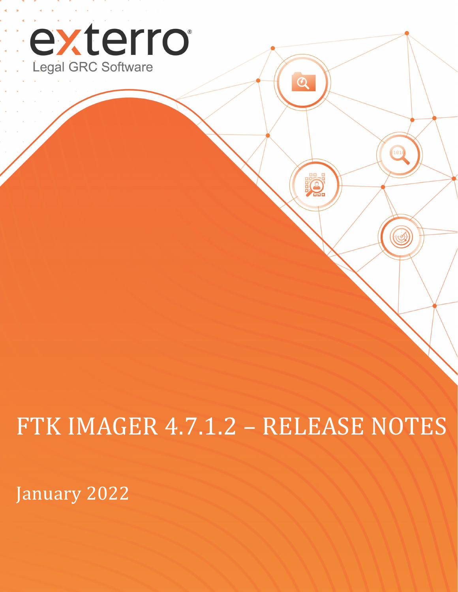

# FTK IMAGER 4.7.1.2 – RELEASE NOTES

 $\overline{\mathbf{Q}}$ 

**PO** 

101

C

January 2022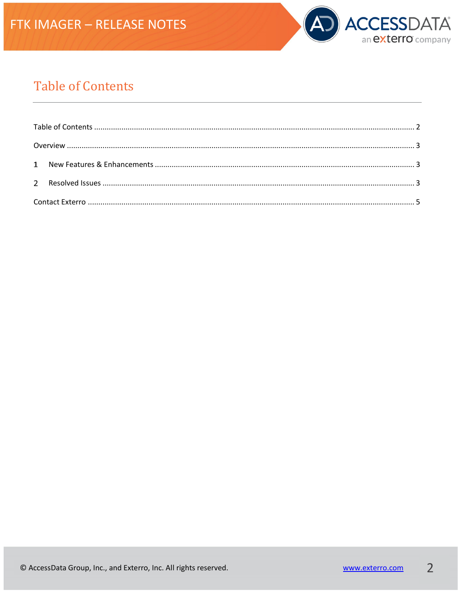

## <span id="page-1-0"></span>**Table of Contents**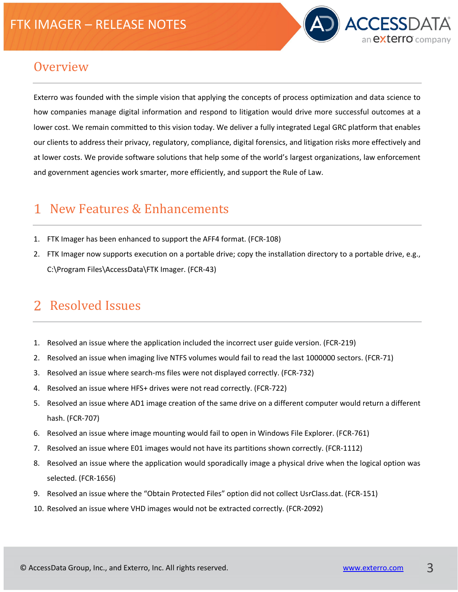

#### <span id="page-2-0"></span>**Overview**

Exterro was founded with the simple vision that applying the concepts of process optimization and data science to how companies manage digital information and respond to litigation would drive more successful outcomes at a lower cost. We remain committed to this vision today. We deliver a fully integrated Legal GRC platform that enables our clients to address their privacy, regulatory, compliance, digital forensics, and litigation risks more effectively and at lower costs. We provide software solutions that help some of the world's largest organizations, law enforcement and government agencies work smarter, more efficiently, and support the Rule of Law.

#### <span id="page-2-1"></span>New Features & Enhancements

- 1. FTK Imager has been enhanced to support the AFF4 format. (FCR-108)
- 2. FTK Imager now supports execution on a portable drive; copy the installation directory to a portable drive, e.g., C:\Program Files\AccessData\FTK Imager. (FCR-43)

### <span id="page-2-2"></span>Resolved Issues

- 1. Resolved an issue where the application included the incorrect user guide version. (FCR-219)
- 2. Resolved an issue when imaging live NTFS volumes would fail to read the last 1000000 sectors. (FCR-71)
- 3. Resolved an issue where search-ms files were not displayed correctly. (FCR-732)
- 4. Resolved an issue where HFS+ drives were not read correctly. (FCR-722)
- 5. Resolved an issue where AD1 image creation of the same drive on a different computer would return a different hash. (FCR-707)
- 6. Resolved an issue where image mounting would fail to open in Windows File Explorer. (FCR-761)
- 7. Resolved an issue where E01 images would not have its partitions shown correctly. (FCR-1112)
- 8. Resolved an issue where the application would sporadically image a physical drive when the logical option was selected. (FCR-1656)
- 9. Resolved an issue where the "Obtain Protected Files" option did not collect UsrClass.dat. (FCR-151)
- 10. Resolved an issue where VHD images would not be extracted correctly. (FCR-2092)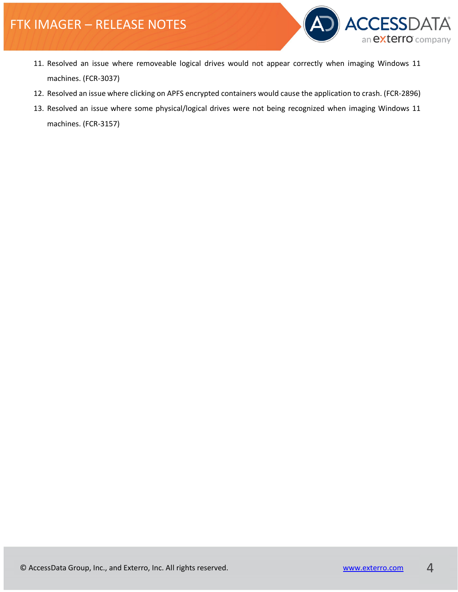## FTK IMAGER – RELEASE NOTES



- 11. Resolved an issue where removeable logical drives would not appear correctly when imaging Windows 11 machines. (FCR-3037)
- 12. Resolved an issue where clicking on APFS encrypted containers would cause the application to crash. (FCR-2896)
- 13. Resolved an issue where some physical/logical drives were not being recognized when imaging Windows 11 machines. (FCR-3157)